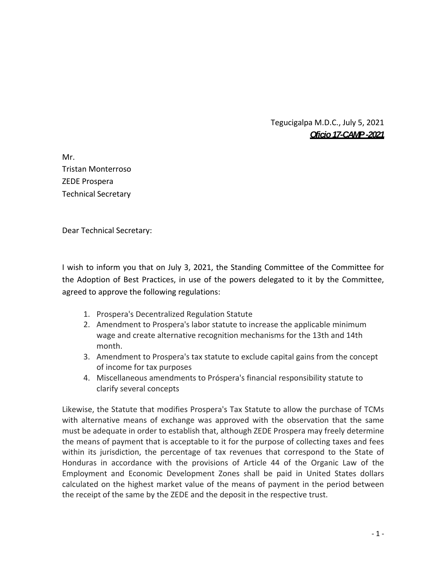Tegucigalpa M.D.C., July 5, 2021 *Oficio 17-CAMP -2021* 

Mr. Tristan Monterroso ZEDE Prospera Technical Secretary

Dear Technical Secretary:

I wish to inform you that on July 3, 2021, the Standing Committee of the Committee for the Adoption of Best Practices, in use of the powers delegated to it by the Committee, agreed to approve the following regulations:

- 1. Prospera's Decentralized Regulation Statute
- 2. Amendment to Prospera's labor statute to increase the applicable minimum wage and create alternative recognition mechanisms for the 13th and 14th month.
- 3. Amendment to Prospera's tax statute to exclude capital gains from the concept of income for tax purposes
- 4. Miscellaneous amendments to Próspera's financial responsibility statute to clarify several concepts

Likewise, the Statute that modifies Prospera's Tax Statute to allow the purchase of TCMs with alternative means of exchange was approved with the observation that the same must be adequate in order to establish that, although ZEDE Prospera may freely determine the means of payment that is acceptable to it for the purpose of collecting taxes and fees within its jurisdiction, the percentage of tax revenues that correspond to the State of Honduras in accordance with the provisions of Article 44 of the Organic Law of the Employment and Economic Development Zones shall be paid in United States dollars calculated on the highest market value of the means of payment in the period between the receipt of the same by the ZEDE and the deposit in the respective trust.